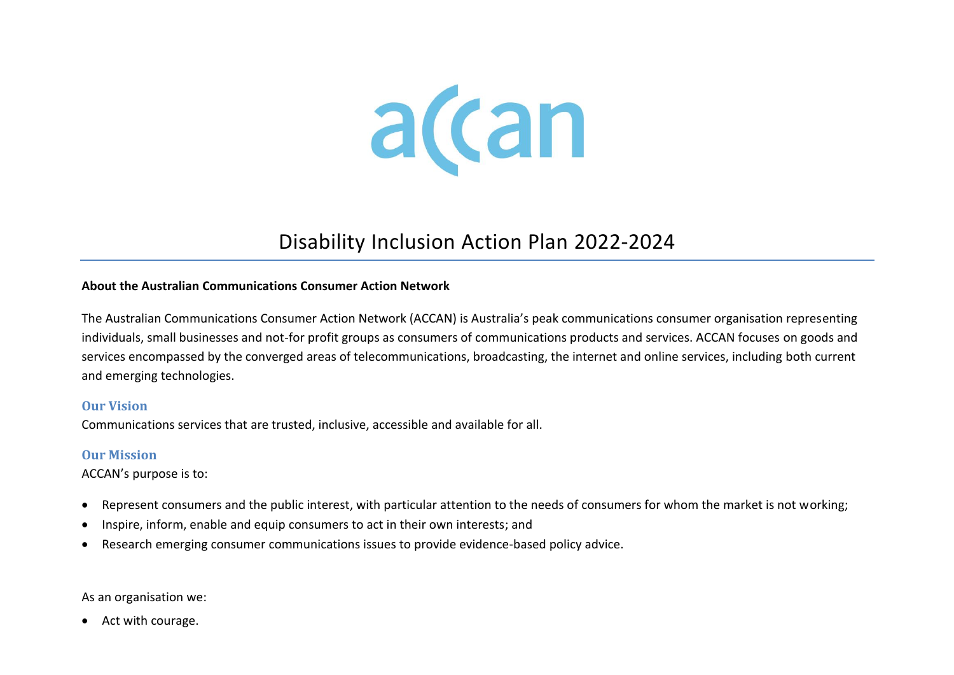

# Disability Inclusion Action Plan 2022-2024

#### **About the Australian Communications Consumer Action Network**

The Australian Communications Consumer Action Network (ACCAN) is Australia's peak communications consumer organisation representing individuals, small businesses and not-for profit groups as consumers of communications products and services. ACCAN focuses on goods and services encompassed by the converged areas of telecommunications, broadcasting, the internet and online services, including both current and emerging technologies.

#### **Our Vision**

Communications services that are trusted, inclusive, accessible and available for all.

#### **Our Mission**

ACCAN's purpose is to:

- Represent consumers and the public interest, with particular attention to the needs of consumers for whom the market is not working;
- Inspire, inform, enable and equip consumers to act in their own interests; and
- Research emerging consumer communications issues to provide evidence-based policy advice.

As an organisation we:

• Act with courage.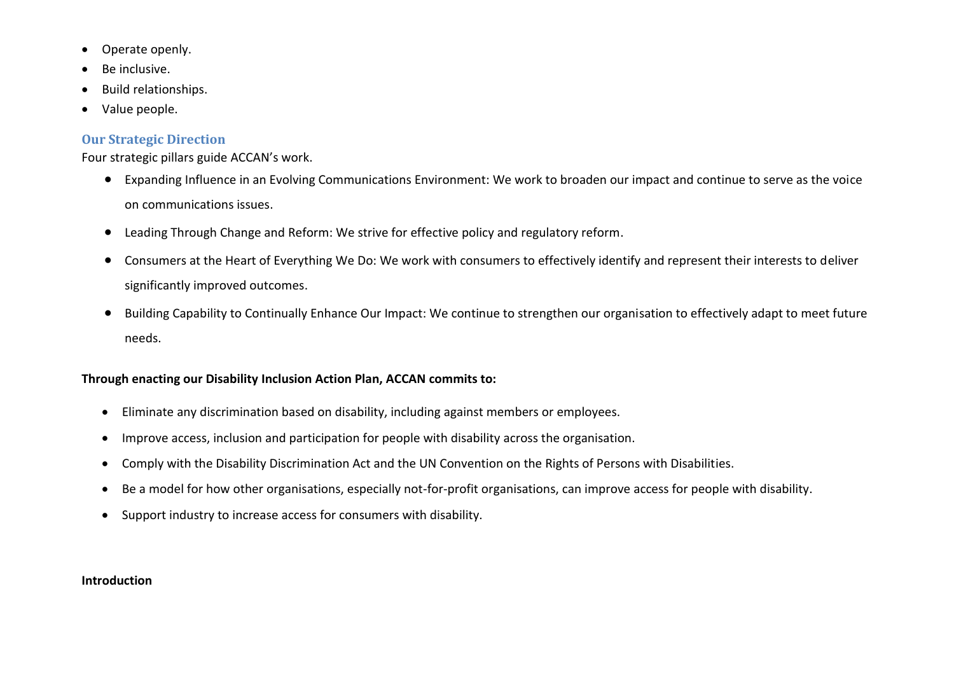- Operate openly.
- Be inclusive.
- Build relationships.
- Value people.

## **Our Strategic Direction**

Four strategic pillars guide ACCAN's work.

- Expanding Influence in an Evolving Communications Environment: We work to broaden our impact and continue to serve as the voice on communications issues.
- Leading Through Change and Reform: We strive for effective policy and regulatory reform.
- Consumers at the Heart of Everything We Do: We work with consumers to effectively identify and represent their interests to deliver significantly improved outcomes.
- Building Capability to Continually Enhance Our Impact: We continue to strengthen our organisation to effectively adapt to meet future needs.

### **Through enacting our Disability Inclusion Action Plan, ACCAN commits to:**

- Eliminate any discrimination based on disability, including against members or employees.
- Improve access, inclusion and participation for people with disability across the organisation.
- Comply with the Disability Discrimination Act and the UN Convention on the Rights of Persons with Disabilities.
- Be a model for how other organisations, especially not-for-profit organisations, can improve access for people with disability.
- Support industry to increase access for consumers with disability.

#### **Introduction**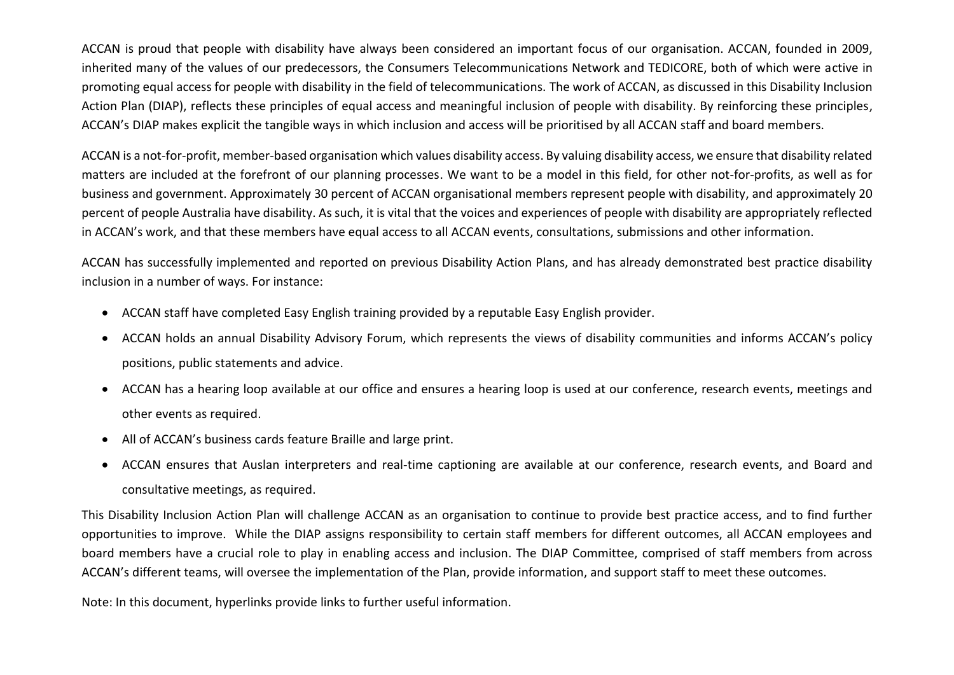ACCAN is proud that people with disability have always been considered an important focus of our organisation. ACCAN, founded in 2009, inherited many of the values of our predecessors, the Consumers Telecommunications Network and TEDICORE, both of which were active in promoting equal access for people with disability in the field of telecommunications. The work of ACCAN, as discussed in this Disability Inclusion Action Plan (DIAP), reflects these principles of equal access and meaningful inclusion of people with disability. By reinforcing these principles, ACCAN's DIAP makes explicit the tangible ways in which inclusion and access will be prioritised by all ACCAN staff and board members.

ACCAN is a not-for-profit, member-based organisation which values disability access. By valuing disability access, we ensure that disability related matters are included at the forefront of our planning processes. We want to be a model in this field, for other not-for-profits, as well as for business and government. Approximately 30 percent of ACCAN organisational members represent people with disability, and approximately 20 percent of people Australia have disability. As such, it is vital that the voices and experiences of people with disability are appropriately reflected in ACCAN's work, and that these members have equal access to all ACCAN events, consultations, submissions and other information.

ACCAN has successfully implemented and reported on previous Disability Action Plans, and has already demonstrated best practice disability inclusion in a number of ways. For instance:

- ACCAN staff have completed Easy English training provided by a reputable Easy English provider.
- ACCAN holds an annual Disability Advisory Forum, which represents the views of disability communities and informs ACCAN's policy positions, public statements and advice.
- ACCAN has a hearing loop available at our office and ensures a hearing loop is used at our conference, research events, meetings and other events as required.
- All of ACCAN's business cards feature Braille and large print.
- ACCAN ensures that Auslan interpreters and real-time captioning are available at our conference, research events, and Board and consultative meetings, as required.

This Disability Inclusion Action Plan will challenge ACCAN as an organisation to continue to provide best practice access, and to find further opportunities to improve. While the DIAP assigns responsibility to certain staff members for different outcomes, all ACCAN employees and board members have a crucial role to play in enabling access and inclusion. The DIAP Committee, comprised of staff members from across ACCAN's different teams, will oversee the implementation of the Plan, provide information, and support staff to meet these outcomes.

Note: In this document, hyperlinks provide links to further useful information.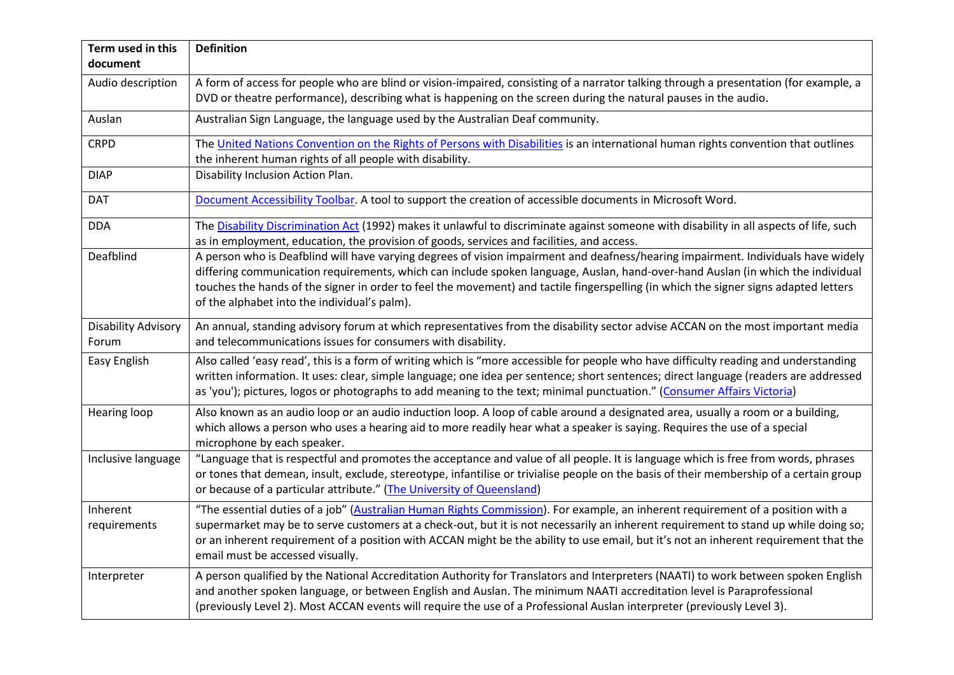| Term used in this<br>document       | <b>Definition</b>                                                                                                                                                                                                                                                                                                                                                                                                                                            |
|-------------------------------------|--------------------------------------------------------------------------------------------------------------------------------------------------------------------------------------------------------------------------------------------------------------------------------------------------------------------------------------------------------------------------------------------------------------------------------------------------------------|
| Audio description                   | A form of access for people who are blind or vision-impaired, consisting of a narrator talking through a presentation (for example, a<br>DVD or theatre performance), describing what is happening on the screen during the natural pauses in the audio.                                                                                                                                                                                                     |
| Auslan                              | Australian Sign Language, the language used by the Australian Deaf community.                                                                                                                                                                                                                                                                                                                                                                                |
| <b>CRPD</b>                         | The United Nations Convention on the Rights of Persons with Disabilities is an international human rights convention that outlines<br>the inherent human rights of all people with disability.                                                                                                                                                                                                                                                               |
| <b>DIAP</b>                         | Disability Inclusion Action Plan.                                                                                                                                                                                                                                                                                                                                                                                                                            |
| <b>DAT</b>                          | Document Accessibility Toolbar. A tool to support the creation of accessible documents in Microsoft Word.                                                                                                                                                                                                                                                                                                                                                    |
| <b>DDA</b>                          | The Disability Discrimination Act (1992) makes it unlawful to discriminate against someone with disability in all aspects of life, such<br>as in employment, education, the provision of goods, services and facilities, and access.                                                                                                                                                                                                                         |
| Deafblind                           | A person who is Deafblind will have varying degrees of vision impairment and deafness/hearing impairment. Individuals have widely<br>differing communication requirements, which can include spoken language, Auslan, hand-over-hand Auslan (in which the individual<br>touches the hands of the signer in order to feel the movement) and tactile fingerspelling (in which the signer signs adapted letters<br>of the alphabet into the individual's palm). |
| <b>Disability Advisory</b><br>Forum | An annual, standing advisory forum at which representatives from the disability sector advise ACCAN on the most important media<br>and telecommunications issues for consumers with disability.                                                                                                                                                                                                                                                              |
| Easy English                        | Also called 'easy read', this is a form of writing which is "more accessible for people who have difficulty reading and understanding<br>written information. It uses: clear, simple language; one idea per sentence; short sentences; direct language (readers are addressed<br>as 'you'); pictures, logos or photographs to add meaning to the text; minimal punctuation." (Consumer Affairs Victoria)                                                     |
| <b>Hearing loop</b>                 | Also known as an audio loop or an audio induction loop. A loop of cable around a designated area, usually a room or a building,<br>which allows a person who uses a hearing aid to more readily hear what a speaker is saying. Requires the use of a special<br>microphone by each speaker.                                                                                                                                                                  |
| Inclusive language                  | "Language that is respectful and promotes the acceptance and value of all people. It is language which is free from words, phrases<br>or tones that demean, insult, exclude, stereotype, infantilise or trivialise people on the basis of their membership of a certain group<br>or because of a particular attribute." (The University of Queensland)                                                                                                       |
| Inherent<br>requirements            | "The essential duties of a job" (Australian Human Rights Commission). For example, an inherent requirement of a position with a<br>supermarket may be to serve customers at a check-out, but it is not necessarily an inherent requirement to stand up while doing so;<br>or an inherent requirement of a position with ACCAN might be the ability to use email, but it's not an inherent requirement that the<br>email must be accessed visually.           |
| Interpreter                         | A person qualified by the National Accreditation Authority for Translators and Interpreters (NAATI) to work between spoken English<br>and another spoken language, or between English and Auslan. The minimum NAATI accreditation level is Paraprofessional<br>(previously Level 2). Most ACCAN events will require the use of a Professional Auslan interpreter (previously Level 3).                                                                       |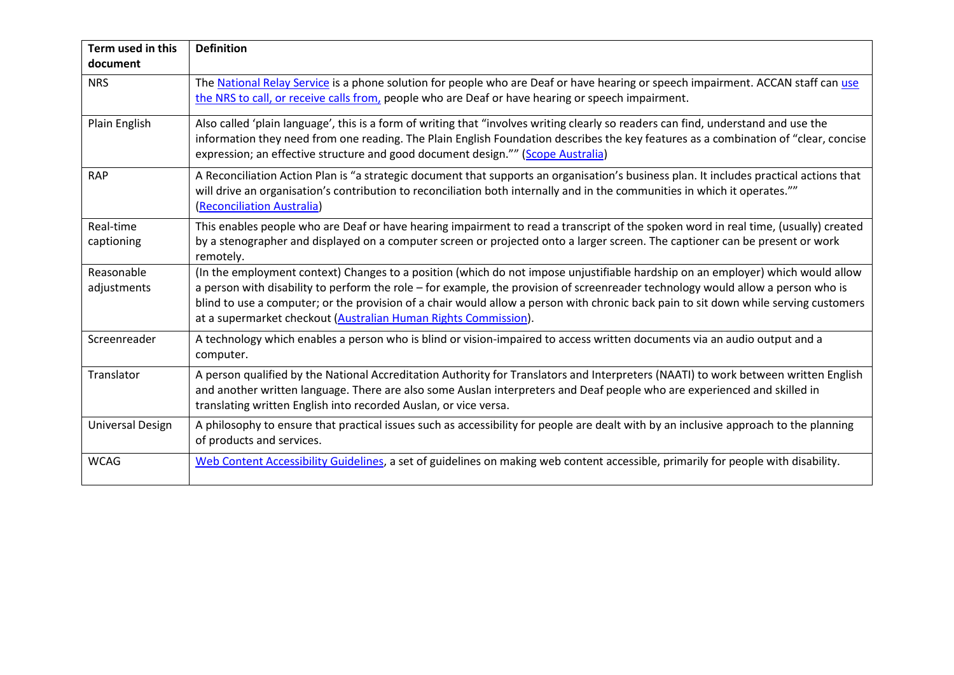| Term used in this<br>document | <b>Definition</b>                                                                                                                                                                                                                                                                                                                                                                                                                                                              |
|-------------------------------|--------------------------------------------------------------------------------------------------------------------------------------------------------------------------------------------------------------------------------------------------------------------------------------------------------------------------------------------------------------------------------------------------------------------------------------------------------------------------------|
| <b>NRS</b>                    | The National Relay Service is a phone solution for people who are Deaf or have hearing or speech impairment. ACCAN staff can use<br>the NRS to call, or receive calls from, people who are Deaf or have hearing or speech impairment.                                                                                                                                                                                                                                          |
| Plain English                 | Also called 'plain language', this is a form of writing that "involves writing clearly so readers can find, understand and use the<br>information they need from one reading. The Plain English Foundation describes the key features as a combination of "clear, concise<br>expression; an effective structure and good document design."" (Scope Australia)                                                                                                                  |
| <b>RAP</b>                    | A Reconciliation Action Plan is "a strategic document that supports an organisation's business plan. It includes practical actions that<br>will drive an organisation's contribution to reconciliation both internally and in the communities in which it operates.""<br>(Reconciliation Australia)                                                                                                                                                                            |
| Real-time<br>captioning       | This enables people who are Deaf or have hearing impairment to read a transcript of the spoken word in real time, (usually) created<br>by a stenographer and displayed on a computer screen or projected onto a larger screen. The captioner can be present or work<br>remotely.                                                                                                                                                                                               |
| Reasonable<br>adjustments     | (In the employment context) Changes to a position (which do not impose unjustifiable hardship on an employer) which would allow<br>a person with disability to perform the role - for example, the provision of screenreader technology would allow a person who is<br>blind to use a computer; or the provision of a chair would allow a person with chronic back pain to sit down while serving customers<br>at a supermarket checkout (Australian Human Rights Commission). |
| Screenreader                  | A technology which enables a person who is blind or vision-impaired to access written documents via an audio output and a<br>computer.                                                                                                                                                                                                                                                                                                                                         |
| Translator                    | A person qualified by the National Accreditation Authority for Translators and Interpreters (NAATI) to work between written English<br>and another written language. There are also some Auslan interpreters and Deaf people who are experienced and skilled in<br>translating written English into recorded Auslan, or vice versa.                                                                                                                                            |
| <b>Universal Design</b>       | A philosophy to ensure that practical issues such as accessibility for people are dealt with by an inclusive approach to the planning<br>of products and services.                                                                                                                                                                                                                                                                                                             |
| <b>WCAG</b>                   | Web Content Accessibility Guidelines, a set of guidelines on making web content accessible, primarily for people with disability.                                                                                                                                                                                                                                                                                                                                              |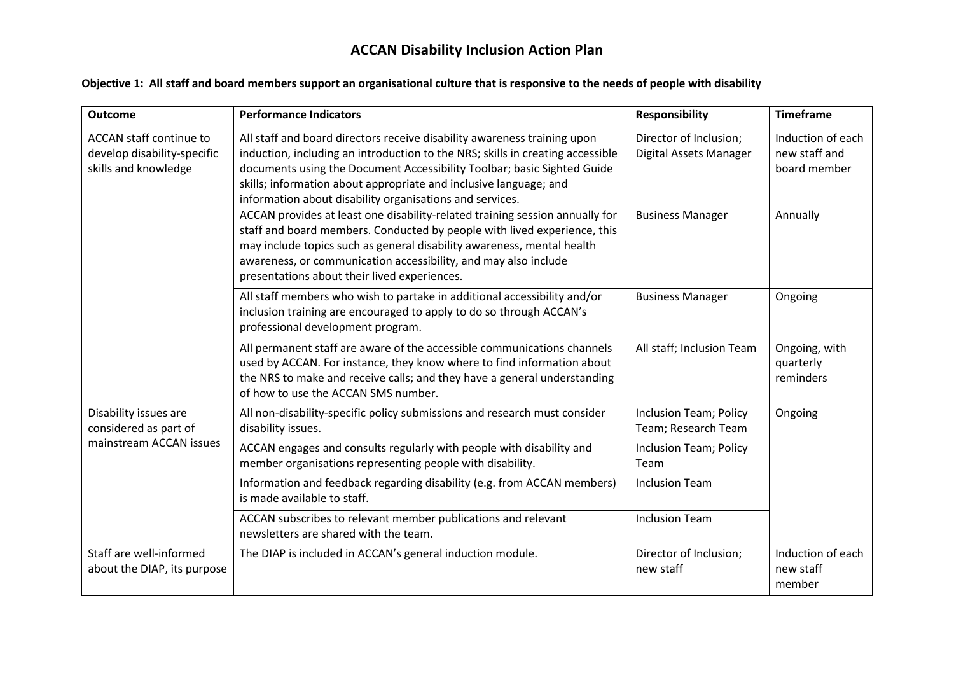# **ACCAN Disability Inclusion Action Plan**

#### **Objective 1: All staff and board members support an organisational culture that is responsive to the needs of people with disability**

| <b>Outcome</b>                                                                 | <b>Performance Indicators</b>                                                                                                                                                                                                                                                                                                                                          | <b>Responsibility</b>                            | <b>Timeframe</b>                                   |
|--------------------------------------------------------------------------------|------------------------------------------------------------------------------------------------------------------------------------------------------------------------------------------------------------------------------------------------------------------------------------------------------------------------------------------------------------------------|--------------------------------------------------|----------------------------------------------------|
| ACCAN staff continue to<br>develop disability-specific<br>skills and knowledge | All staff and board directors receive disability awareness training upon<br>induction, including an introduction to the NRS; skills in creating accessible<br>documents using the Document Accessibility Toolbar; basic Sighted Guide<br>skills; information about appropriate and inclusive language; and<br>information about disability organisations and services. | Director of Inclusion;<br>Digital Assets Manager | Induction of each<br>new staff and<br>board member |
|                                                                                | ACCAN provides at least one disability-related training session annually for<br>staff and board members. Conducted by people with lived experience, this<br>may include topics such as general disability awareness, mental health<br>awareness, or communication accessibility, and may also include<br>presentations about their lived experiences.                  | <b>Business Manager</b>                          | Annually                                           |
|                                                                                | All staff members who wish to partake in additional accessibility and/or<br>inclusion training are encouraged to apply to do so through ACCAN's<br>professional development program.                                                                                                                                                                                   | <b>Business Manager</b>                          | Ongoing                                            |
|                                                                                | All permanent staff are aware of the accessible communications channels<br>used by ACCAN. For instance, they know where to find information about<br>the NRS to make and receive calls; and they have a general understanding<br>of how to use the ACCAN SMS number.                                                                                                   | All staff; Inclusion Team                        | Ongoing, with<br>quarterly<br>reminders            |
| Disability issues are<br>considered as part of                                 | All non-disability-specific policy submissions and research must consider<br>disability issues.                                                                                                                                                                                                                                                                        | Inclusion Team; Policy<br>Team; Research Team    | Ongoing                                            |
| mainstream ACCAN issues                                                        | ACCAN engages and consults regularly with people with disability and<br>member organisations representing people with disability.                                                                                                                                                                                                                                      | Inclusion Team; Policy<br>Team                   |                                                    |
|                                                                                | Information and feedback regarding disability (e.g. from ACCAN members)<br>is made available to staff.                                                                                                                                                                                                                                                                 | <b>Inclusion Team</b>                            |                                                    |
|                                                                                | ACCAN subscribes to relevant member publications and relevant<br>newsletters are shared with the team.                                                                                                                                                                                                                                                                 | <b>Inclusion Team</b>                            |                                                    |
| Staff are well-informed<br>about the DIAP, its purpose                         | The DIAP is included in ACCAN's general induction module.                                                                                                                                                                                                                                                                                                              | Director of Inclusion;<br>new staff              | Induction of each<br>new staff<br>member           |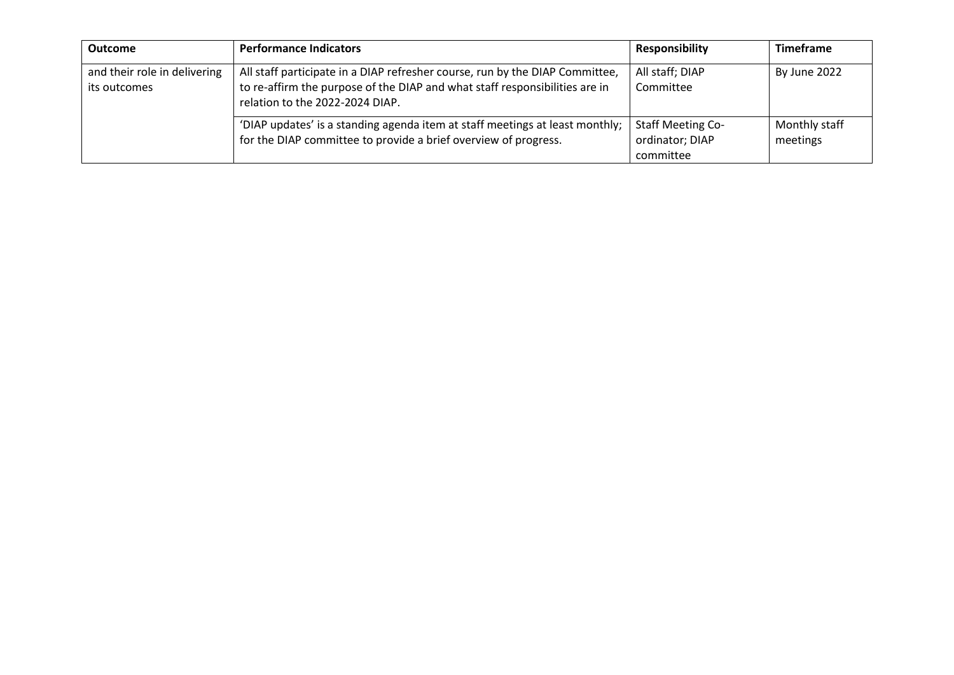| <b>Outcome</b>                               | <b>Performance Indicators</b>                                                                                                                                                                  | <b>Responsibility</b>                                    | <b>Timeframe</b>          |
|----------------------------------------------|------------------------------------------------------------------------------------------------------------------------------------------------------------------------------------------------|----------------------------------------------------------|---------------------------|
| and their role in delivering<br>its outcomes | All staff participate in a DIAP refresher course, run by the DIAP Committee,<br>to re-affirm the purpose of the DIAP and what staff responsibilities are in<br>relation to the 2022-2024 DIAP. | All staff; DIAP<br>Committee                             | By June 2022              |
|                                              | 'DIAP updates' is a standing agenda item at staff meetings at least monthly;<br>for the DIAP committee to provide a brief overview of progress.                                                | <b>Staff Meeting Co-</b><br>ordinator; DIAP<br>committee | Monthly staff<br>meetings |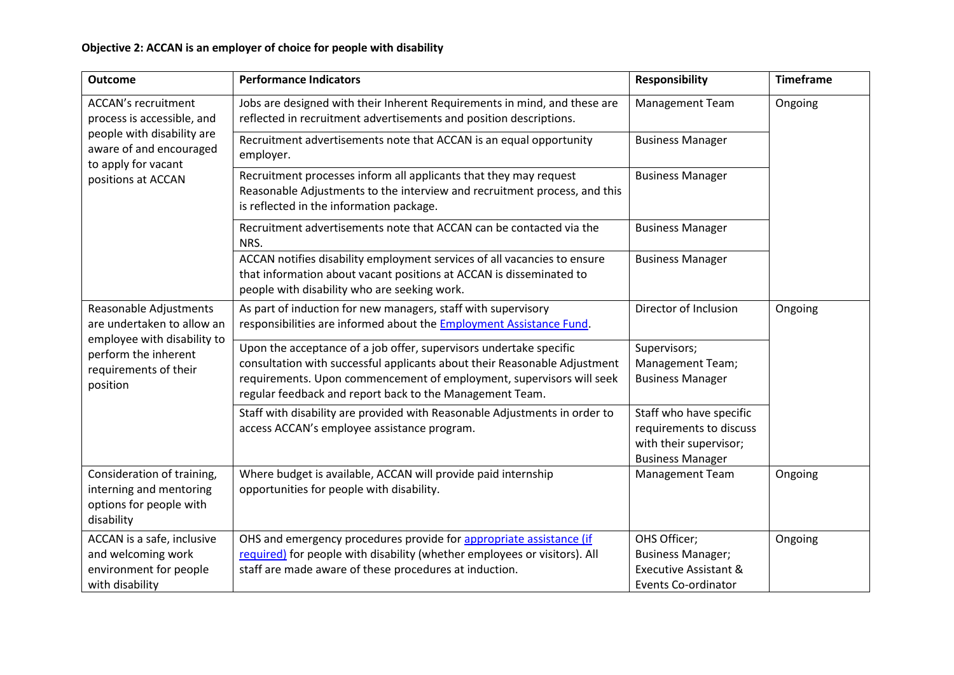| <b>Outcome</b>                                                                                 | <b>Performance Indicators</b>                                                                                                                                                                                                                                                       | <b>Responsibility</b>                                                                                      | <b>Timeframe</b> |
|------------------------------------------------------------------------------------------------|-------------------------------------------------------------------------------------------------------------------------------------------------------------------------------------------------------------------------------------------------------------------------------------|------------------------------------------------------------------------------------------------------------|------------------|
| <b>ACCAN's recruitment</b><br>process is accessible, and                                       | Jobs are designed with their Inherent Requirements in mind, and these are<br>reflected in recruitment advertisements and position descriptions.                                                                                                                                     | <b>Management Team</b>                                                                                     | Ongoing          |
| people with disability are<br>aware of and encouraged<br>to apply for vacant                   | Recruitment advertisements note that ACCAN is an equal opportunity<br>employer.                                                                                                                                                                                                     | <b>Business Manager</b>                                                                                    |                  |
| positions at ACCAN                                                                             | Recruitment processes inform all applicants that they may request<br>Reasonable Adjustments to the interview and recruitment process, and this<br>is reflected in the information package.                                                                                          | <b>Business Manager</b>                                                                                    |                  |
|                                                                                                | Recruitment advertisements note that ACCAN can be contacted via the<br>NRS.                                                                                                                                                                                                         | <b>Business Manager</b>                                                                                    |                  |
|                                                                                                | ACCAN notifies disability employment services of all vacancies to ensure<br>that information about vacant positions at ACCAN is disseminated to<br>people with disability who are seeking work.                                                                                     | <b>Business Manager</b>                                                                                    |                  |
| Reasonable Adjustments<br>are undertaken to allow an                                           | As part of induction for new managers, staff with supervisory<br>responsibilities are informed about the Employment Assistance Fund.                                                                                                                                                | Director of Inclusion                                                                                      | Ongoing          |
| employee with disability to<br>perform the inherent<br>requirements of their<br>position       | Upon the acceptance of a job offer, supervisors undertake specific<br>consultation with successful applicants about their Reasonable Adjustment<br>requirements. Upon commencement of employment, supervisors will seek<br>regular feedback and report back to the Management Team. | Supervisors;<br>Management Team;<br><b>Business Manager</b>                                                |                  |
|                                                                                                | Staff with disability are provided with Reasonable Adjustments in order to<br>access ACCAN's employee assistance program.                                                                                                                                                           | Staff who have specific<br>requirements to discuss<br>with their supervisor;<br><b>Business Manager</b>    |                  |
| Consideration of training,<br>interning and mentoring<br>options for people with<br>disability | Where budget is available, ACCAN will provide paid internship<br>opportunities for people with disability.                                                                                                                                                                          | Management Team                                                                                            | Ongoing          |
| ACCAN is a safe, inclusive<br>and welcoming work<br>environment for people<br>with disability  | OHS and emergency procedures provide for appropriate assistance (if<br>required) for people with disability (whether employees or visitors). All<br>staff are made aware of these procedures at induction.                                                                          | OHS Officer;<br><b>Business Manager;</b><br><b>Executive Assistant &amp;</b><br><b>Events Co-ordinator</b> | Ongoing          |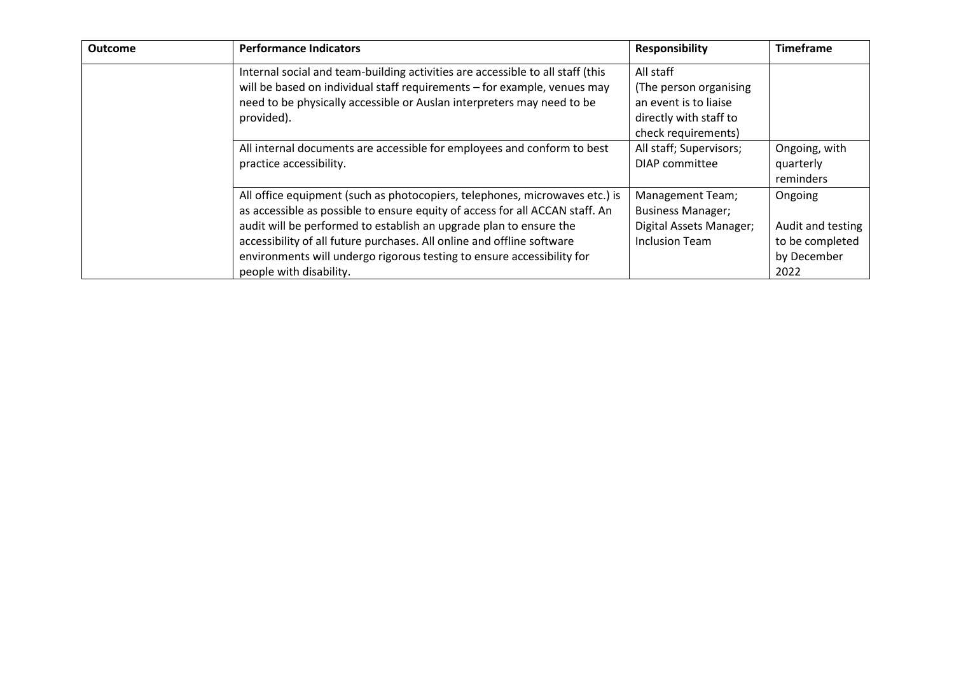| <b>Outcome</b> | <b>Performance Indicators</b>                                                  | <b>Responsibility</b>    | <b>Timeframe</b>  |
|----------------|--------------------------------------------------------------------------------|--------------------------|-------------------|
|                | Internal social and team-building activities are accessible to all staff (this | All staff                |                   |
|                | will be based on individual staff requirements - for example, venues may       | (The person organising   |                   |
|                | need to be physically accessible or Auslan interpreters may need to be         | an event is to liaise    |                   |
|                | provided).                                                                     | directly with staff to   |                   |
|                |                                                                                | check requirements)      |                   |
|                | All internal documents are accessible for employees and conform to best        | All staff; Supervisors;  | Ongoing, with     |
|                | practice accessibility.                                                        | DIAP committee           | quarterly         |
|                |                                                                                |                          | reminders         |
|                | All office equipment (such as photocopiers, telephones, microwaves etc.) is    | Management Team;         | Ongoing           |
|                | as accessible as possible to ensure equity of access for all ACCAN staff. An   | <b>Business Manager;</b> |                   |
|                | audit will be performed to establish an upgrade plan to ensure the             | Digital Assets Manager;  | Audit and testing |
|                | accessibility of all future purchases. All online and offline software         | <b>Inclusion Team</b>    | to be completed   |
|                | environments will undergo rigorous testing to ensure accessibility for         |                          | by December       |
|                | people with disability.                                                        |                          | 2022              |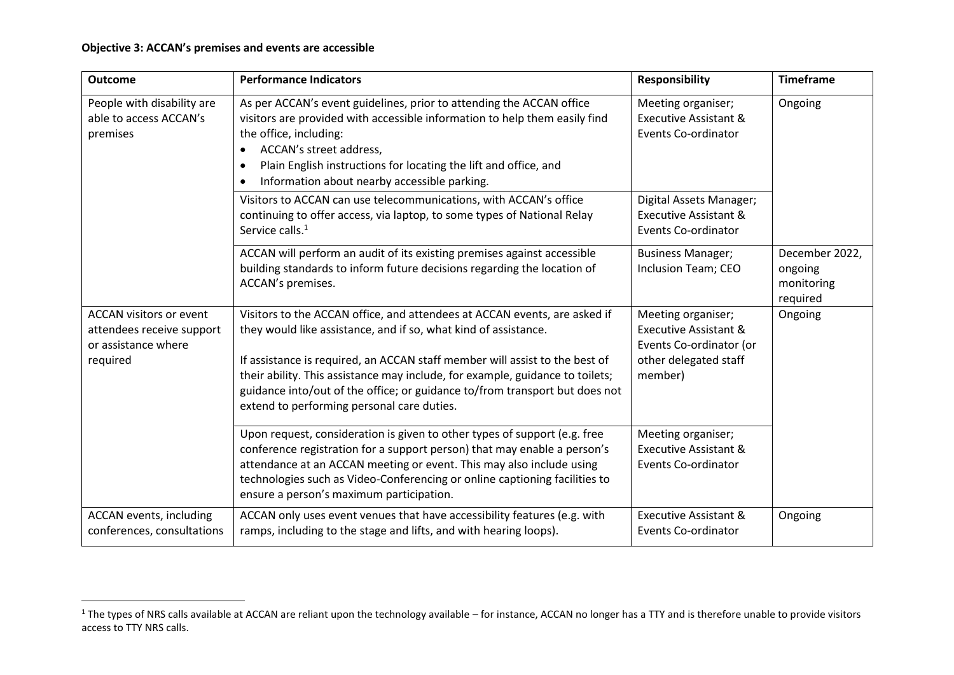| <b>Outcome</b>                                                                                 | <b>Performance Indicators</b>                                                                                                                                                                                                                                                                                                                                                                                                             | Responsibility                                                                                                        | <b>Timeframe</b>                                    |
|------------------------------------------------------------------------------------------------|-------------------------------------------------------------------------------------------------------------------------------------------------------------------------------------------------------------------------------------------------------------------------------------------------------------------------------------------------------------------------------------------------------------------------------------------|-----------------------------------------------------------------------------------------------------------------------|-----------------------------------------------------|
| People with disability are<br>able to access ACCAN's<br>premises                               | As per ACCAN's event guidelines, prior to attending the ACCAN office<br>visitors are provided with accessible information to help them easily find<br>the office, including:<br>ACCAN's street address,<br>$\bullet$<br>Plain English instructions for locating the lift and office, and<br>$\bullet$<br>Information about nearby accessible parking.<br>$\bullet$                                                                        | Meeting organiser;<br><b>Executive Assistant &amp;</b><br><b>Events Co-ordinator</b>                                  | Ongoing                                             |
|                                                                                                | Visitors to ACCAN can use telecommunications, with ACCAN's office<br>continuing to offer access, via laptop, to some types of National Relay<br>Service calls. <sup>1</sup>                                                                                                                                                                                                                                                               | Digital Assets Manager;<br><b>Executive Assistant &amp;</b><br><b>Events Co-ordinator</b>                             |                                                     |
|                                                                                                | ACCAN will perform an audit of its existing premises against accessible<br>building standards to inform future decisions regarding the location of<br>ACCAN's premises.                                                                                                                                                                                                                                                                   | <b>Business Manager;</b><br>Inclusion Team; CEO                                                                       | December 2022,<br>ongoing<br>monitoring<br>required |
| <b>ACCAN visitors or event</b><br>attendees receive support<br>or assistance where<br>required | Visitors to the ACCAN office, and attendees at ACCAN events, are asked if<br>they would like assistance, and if so, what kind of assistance.<br>If assistance is required, an ACCAN staff member will assist to the best of<br>their ability. This assistance may include, for example, guidance to toilets;<br>guidance into/out of the office; or guidance to/from transport but does not<br>extend to performing personal care duties. | Meeting organiser;<br><b>Executive Assistant &amp;</b><br>Events Co-ordinator (or<br>other delegated staff<br>member) | Ongoing                                             |
|                                                                                                | Upon request, consideration is given to other types of support (e.g. free<br>conference registration for a support person) that may enable a person's<br>attendance at an ACCAN meeting or event. This may also include using<br>technologies such as Video-Conferencing or online captioning facilities to<br>ensure a person's maximum participation.                                                                                   | Meeting organiser;<br><b>Executive Assistant &amp;</b><br><b>Events Co-ordinator</b>                                  |                                                     |
| ACCAN events, including<br>conferences, consultations                                          | ACCAN only uses event venues that have accessibility features (e.g. with<br>ramps, including to the stage and lifts, and with hearing loops).                                                                                                                                                                                                                                                                                             | <b>Executive Assistant &amp;</b><br><b>Events Co-ordinator</b>                                                        | Ongoing                                             |

<sup>&</sup>lt;sup>1</sup> The types of NRS calls available at ACCAN are reliant upon the technology available – for instance, ACCAN no longer has a TTY and is therefore unable to provide visitors access to TTY NRS calls.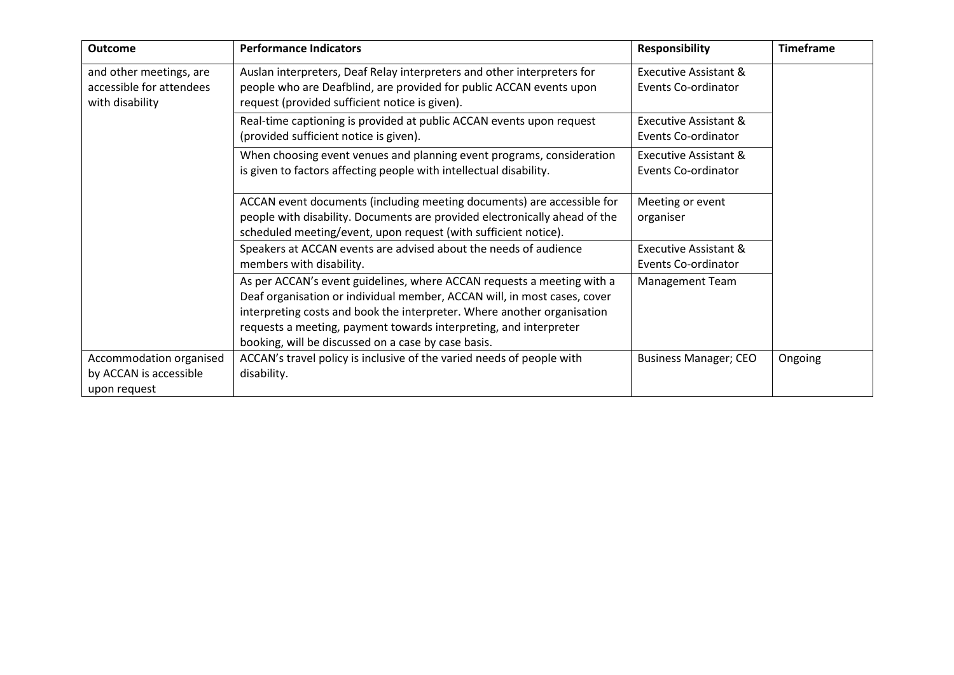| <b>Outcome</b>                                                         | <b>Performance Indicators</b>                                                                                                                                                                                                                                                                                                                             | <b>Responsibility</b>                                   | <b>Timeframe</b> |
|------------------------------------------------------------------------|-----------------------------------------------------------------------------------------------------------------------------------------------------------------------------------------------------------------------------------------------------------------------------------------------------------------------------------------------------------|---------------------------------------------------------|------------------|
| and other meetings, are<br>accessible for attendees<br>with disability | Auslan interpreters, Deaf Relay interpreters and other interpreters for<br>people who are Deafblind, are provided for public ACCAN events upon<br>request (provided sufficient notice is given).                                                                                                                                                          | Executive Assistant &<br>Events Co-ordinator            |                  |
|                                                                        | Real-time captioning is provided at public ACCAN events upon request<br>(provided sufficient notice is given).                                                                                                                                                                                                                                            | <b>Executive Assistant &amp;</b><br>Events Co-ordinator |                  |
|                                                                        | When choosing event venues and planning event programs, consideration<br>is given to factors affecting people with intellectual disability.                                                                                                                                                                                                               | Executive Assistant &<br>Events Co-ordinator            |                  |
|                                                                        | ACCAN event documents (including meeting documents) are accessible for<br>people with disability. Documents are provided electronically ahead of the<br>scheduled meeting/event, upon request (with sufficient notice).                                                                                                                                   | Meeting or event<br>organiser                           |                  |
|                                                                        | Speakers at ACCAN events are advised about the needs of audience<br>members with disability.                                                                                                                                                                                                                                                              | <b>Executive Assistant &amp;</b><br>Events Co-ordinator |                  |
|                                                                        | As per ACCAN's event guidelines, where ACCAN requests a meeting with a<br>Deaf organisation or individual member, ACCAN will, in most cases, cover<br>interpreting costs and book the interpreter. Where another organisation<br>requests a meeting, payment towards interpreting, and interpreter<br>booking, will be discussed on a case by case basis. | <b>Management Team</b>                                  |                  |
| Accommodation organised<br>by ACCAN is accessible<br>upon request      | ACCAN's travel policy is inclusive of the varied needs of people with<br>disability.                                                                                                                                                                                                                                                                      | <b>Business Manager; CEO</b>                            | Ongoing          |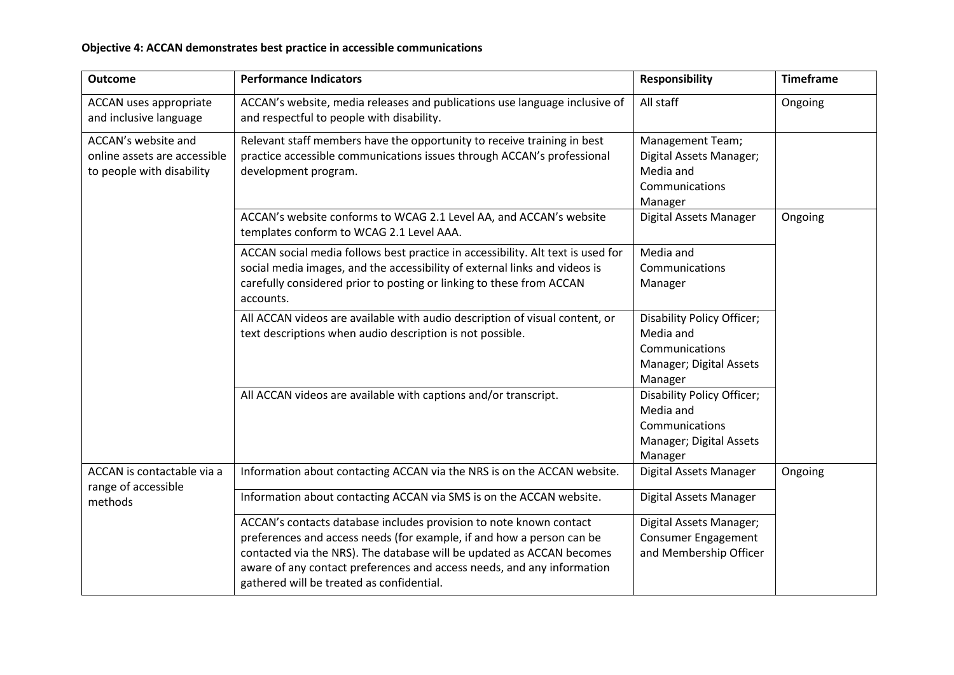# **Objective 4: ACCAN demonstrates best practice in accessible communications**

| <b>Outcome</b>                                                                   | <b>Performance Indicators</b>                                                                                                                                                                                                                                                                                                               | <b>Responsibility</b>                                                                           | <b>Timeframe</b> |
|----------------------------------------------------------------------------------|---------------------------------------------------------------------------------------------------------------------------------------------------------------------------------------------------------------------------------------------------------------------------------------------------------------------------------------------|-------------------------------------------------------------------------------------------------|------------------|
| ACCAN uses appropriate<br>and inclusive language                                 | ACCAN's website, media releases and publications use language inclusive of<br>and respectful to people with disability.                                                                                                                                                                                                                     | All staff                                                                                       | Ongoing          |
| ACCAN's website and<br>online assets are accessible<br>to people with disability | Relevant staff members have the opportunity to receive training in best<br>practice accessible communications issues through ACCAN's professional<br>development program.                                                                                                                                                                   | Management Team;<br>Digital Assets Manager;<br>Media and<br>Communications<br>Manager           |                  |
|                                                                                  | ACCAN's website conforms to WCAG 2.1 Level AA, and ACCAN's website<br>templates conform to WCAG 2.1 Level AAA.                                                                                                                                                                                                                              | Digital Assets Manager                                                                          | Ongoing          |
|                                                                                  | ACCAN social media follows best practice in accessibility. Alt text is used for<br>social media images, and the accessibility of external links and videos is<br>carefully considered prior to posting or linking to these from ACCAN<br>accounts.                                                                                          | Media and<br>Communications<br>Manager                                                          |                  |
|                                                                                  | All ACCAN videos are available with audio description of visual content, or<br>text descriptions when audio description is not possible.                                                                                                                                                                                                    | Disability Policy Officer;<br>Media and<br>Communications<br>Manager; Digital Assets<br>Manager |                  |
|                                                                                  | All ACCAN videos are available with captions and/or transcript.                                                                                                                                                                                                                                                                             | Disability Policy Officer;<br>Media and<br>Communications<br>Manager; Digital Assets<br>Manager |                  |
| ACCAN is contactable via a<br>range of accessible<br>methods                     | Information about contacting ACCAN via the NRS is on the ACCAN website.                                                                                                                                                                                                                                                                     | Digital Assets Manager                                                                          | Ongoing          |
|                                                                                  | Information about contacting ACCAN via SMS is on the ACCAN website.                                                                                                                                                                                                                                                                         | Digital Assets Manager                                                                          |                  |
|                                                                                  | ACCAN's contacts database includes provision to note known contact<br>preferences and access needs (for example, if and how a person can be<br>contacted via the NRS). The database will be updated as ACCAN becomes<br>aware of any contact preferences and access needs, and any information<br>gathered will be treated as confidential. | Digital Assets Manager;<br><b>Consumer Engagement</b><br>and Membership Officer                 |                  |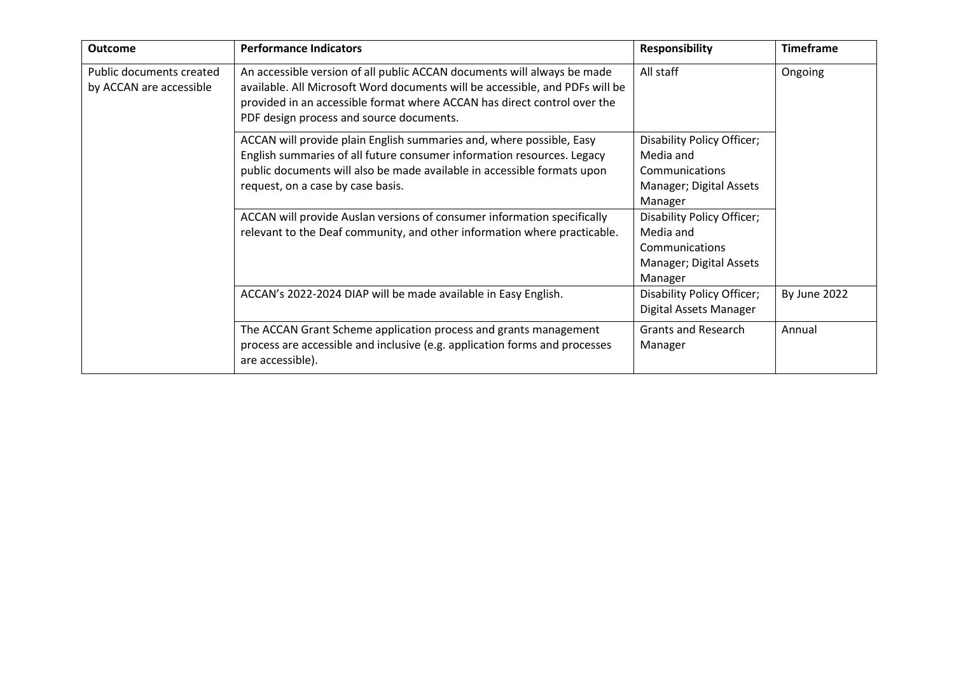| <b>Outcome</b>                                      | <b>Performance Indicators</b>                                                                                                                                                                                                                                                   | <b>Responsibility</b>                                                                           | <b>Timeframe</b> |
|-----------------------------------------------------|---------------------------------------------------------------------------------------------------------------------------------------------------------------------------------------------------------------------------------------------------------------------------------|-------------------------------------------------------------------------------------------------|------------------|
| Public documents created<br>by ACCAN are accessible | An accessible version of all public ACCAN documents will always be made<br>available. All Microsoft Word documents will be accessible, and PDFs will be<br>provided in an accessible format where ACCAN has direct control over the<br>PDF design process and source documents. | All staff                                                                                       | Ongoing          |
|                                                     | ACCAN will provide plain English summaries and, where possible, Easy<br>English summaries of all future consumer information resources. Legacy<br>public documents will also be made available in accessible formats upon<br>request, on a case by case basis.                  | Disability Policy Officer;<br>Media and<br>Communications<br>Manager; Digital Assets<br>Manager |                  |
|                                                     | ACCAN will provide Auslan versions of consumer information specifically<br>relevant to the Deaf community, and other information where practicable.                                                                                                                             | Disability Policy Officer;<br>Media and<br>Communications<br>Manager; Digital Assets<br>Manager |                  |
|                                                     | ACCAN's 2022-2024 DIAP will be made available in Easy English.                                                                                                                                                                                                                  | Disability Policy Officer;<br>Digital Assets Manager                                            | By June 2022     |
|                                                     | The ACCAN Grant Scheme application process and grants management<br>process are accessible and inclusive (e.g. application forms and processes<br>are accessible).                                                                                                              | <b>Grants and Research</b><br>Manager                                                           | Annual           |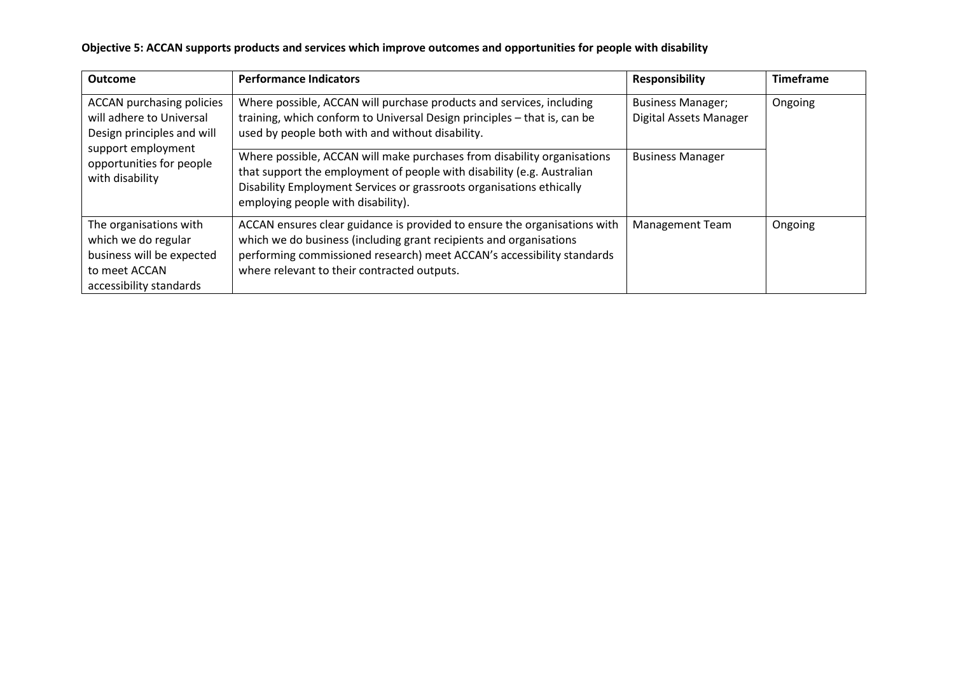| Objective 5: ACCAN supports products and services which improve outcomes and opportunities for people with disability |  |  |
|-----------------------------------------------------------------------------------------------------------------------|--|--|
|-----------------------------------------------------------------------------------------------------------------------|--|--|

| <b>Outcome</b>                                                                                                         | <b>Performance Indicators</b>                                                                                                                                                                                                                                            | <b>Responsibility</b>                              | <b>Timeframe</b> |
|------------------------------------------------------------------------------------------------------------------------|--------------------------------------------------------------------------------------------------------------------------------------------------------------------------------------------------------------------------------------------------------------------------|----------------------------------------------------|------------------|
| <b>ACCAN purchasing policies</b><br>will adhere to Universal<br>Design principles and will                             | Where possible, ACCAN will purchase products and services, including<br>training, which conform to Universal Design principles - that is, can be<br>used by people both with and without disability.                                                                     | <b>Business Manager;</b><br>Digital Assets Manager | Ongoing          |
| support employment<br>opportunities for people<br>with disability                                                      | Where possible, ACCAN will make purchases from disability organisations<br>that support the employment of people with disability (e.g. Australian<br>Disability Employment Services or grassroots organisations ethically<br>employing people with disability).          | <b>Business Manager</b>                            |                  |
| The organisations with<br>which we do regular<br>business will be expected<br>to meet ACCAN<br>accessibility standards | ACCAN ensures clear guidance is provided to ensure the organisations with<br>which we do business (including grant recipients and organisations<br>performing commissioned research) meet ACCAN's accessibility standards<br>where relevant to their contracted outputs. | Management Team                                    | Ongoing          |